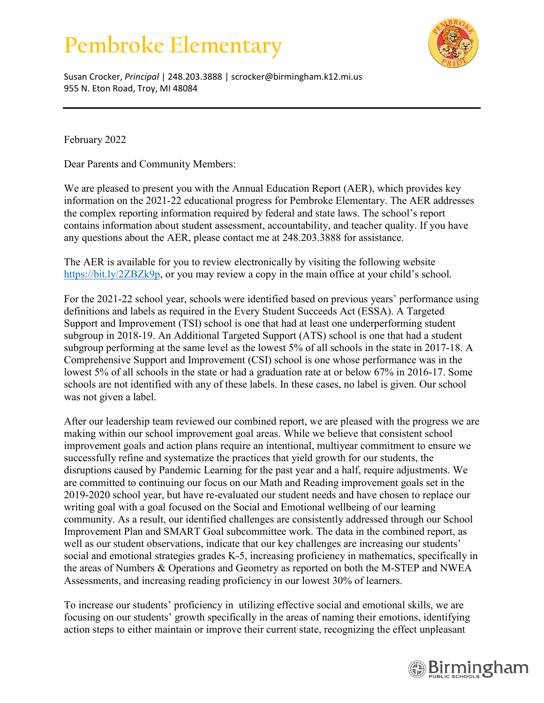## **Pembroke Elementary**



Susan Crocker, *Principal* | 248.203.3888 | scrocker@birmingham.k12.mi.us 955 N. Eton Road, Troy, MI 48084

February 2022

Dear Parents and Community Members:

We are pleased to present you with the Annual Education Report (AER), which provides key information on the 2021-22 educational progress for Pembroke Elementary. The AER addresses the complex reporting information required by federal and state laws. The school's report contains information about student assessment, accountability, and teacher quality. If you have any questions about the AER, please contact me at 248.203.3888 for assistance.

The AER is available for you to review electronically by visiting the following website [https://bit.ly/2ZBZk9p,](https://bit.ly/2ZBZk9p) or you may review a copy in the main office at your child's school.

For the 2021-22 school year, schools were identified based on previous years' performance using definitions and labels as required in the Every Student Succeeds Act (ESSA). A Targeted Support and Improvement (TSI) school is one that had at least one underperforming student subgroup in 2018-19. An Additional Targeted Support (ATS) school is one that had a student subgroup performing at the same level as the lowest 5% of all schools in the state in 2017-18. A Comprehensive Support and Improvement (CSI) school is one whose performance was in the lowest 5% of all schools in the state or had a graduation rate at or below 67% in 2016-17. Some schools are not identified with any of these labels. In these cases, no label is given. Our school was not given a label.

After our leadership team reviewed our combined report, we are pleased with the progress we are making within our school improvement goal areas. While we believe that consistent school improvement goals and action plans require an intentional, multiyear commitment to ensure we successfully refine and systematize the practices that yield growth for our students, the disruptions caused by Pandemic Learning for the past year and a half, require adjustments. We are committed to continuing our focus on our Math and Reading improvement goals set in the 2019-2020 school year, but have re-evaluated our student needs and have chosen to replace our writing goal with a goal focused on the Social and Emotional wellbeing of our learning community. As a result, our identified challenges are consistently addressed through our School Improvement Plan and SMART Goal subcommittee work. The data in the combined report, as well as our student observations, indicate that our key challenges are increasing our students' social and emotional strategies grades K-5, increasing proficiency in mathematics, specifically in the areas of Numbers & Operations and Geometry as reported on both the M-STEP and NWEA Assessments, and increasing reading proficiency in our lowest 30% of learners.

To increase our students' proficiency in utilizing effective social and emotional skills, we are focusing on our students' growth specifically in the areas of naming their emotions, identifying action steps to either maintain or improve their current state, recognizing the effect unpleasant

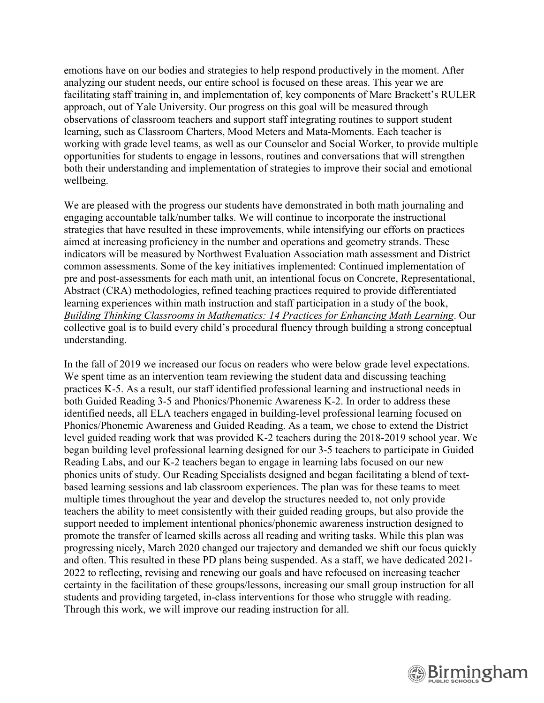emotions have on our bodies and strategies to help respond productively in the moment. After analyzing our student needs, our entire school is focused on these areas. This year we are facilitating staff training in, and implementation of, key components of Marc Brackett's RULER approach, out of Yale University. Our progress on this goal will be measured through observations of classroom teachers and support staff integrating routines to support student learning, such as Classroom Charters, Mood Meters and Mata-Moments. Each teacher is working with grade level teams, as well as our Counselor and Social Worker, to provide multiple opportunities for students to engage in lessons, routines and conversations that will strengthen both their understanding and implementation of strategies to improve their social and emotional wellbeing.

We are pleased with the progress our students have demonstrated in both math journaling and engaging accountable talk/number talks. We will continue to incorporate the instructional strategies that have resulted in these improvements, while intensifying our efforts on practices aimed at increasing proficiency in the number and operations and geometry strands. These indicators will be measured by Northwest Evaluation Association math assessment and District common assessments. Some of the key initiatives implemented: Continued implementation of pre and post-assessments for each math unit, an intentional focus on Concrete, Representational, Abstract (CRA) methodologies, refined teaching practices required to provide differentiated learning experiences within math instruction and staff participation in a study of the book, *Building Thinking Classrooms in Mathematics: 14 Practices for Enhancing Math Learning*. Our collective goal is to build every child's procedural fluency through building a strong conceptual understanding.

In the fall of 2019 we increased our focus on readers who were below grade level expectations. We spent time as an intervention team reviewing the student data and discussing teaching practices K-5. As a result, our staff identified professional learning and instructional needs in both Guided Reading 3-5 and Phonics/Phonemic Awareness K-2. In order to address these identified needs, all ELA teachers engaged in building-level professional learning focused on Phonics/Phonemic Awareness and Guided Reading. As a team, we chose to extend the District level guided reading work that was provided K-2 teachers during the 2018-2019 school year. We began building level professional learning designed for our 3-5 teachers to participate in Guided Reading Labs, and our K-2 teachers began to engage in learning labs focused on our new phonics units of study. Our Reading Specialists designed and began facilitating a blend of textbased learning sessions and lab classroom experiences. The plan was for these teams to meet multiple times throughout the year and develop the structures needed to, not only provide teachers the ability to meet consistently with their guided reading groups, but also provide the support needed to implement intentional phonics/phonemic awareness instruction designed to promote the transfer of learned skills across all reading and writing tasks. While this plan was progressing nicely, March 2020 changed our trajectory and demanded we shift our focus quickly and often. This resulted in these PD plans being suspended. As a staff, we have dedicated 2021- 2022 to reflecting, revising and renewing our goals and have refocused on increasing teacher certainty in the facilitation of these groups/lessons, increasing our small group instruction for all students and providing targeted, in-class interventions for those who struggle with reading. Through this work, we will improve our reading instruction for all.

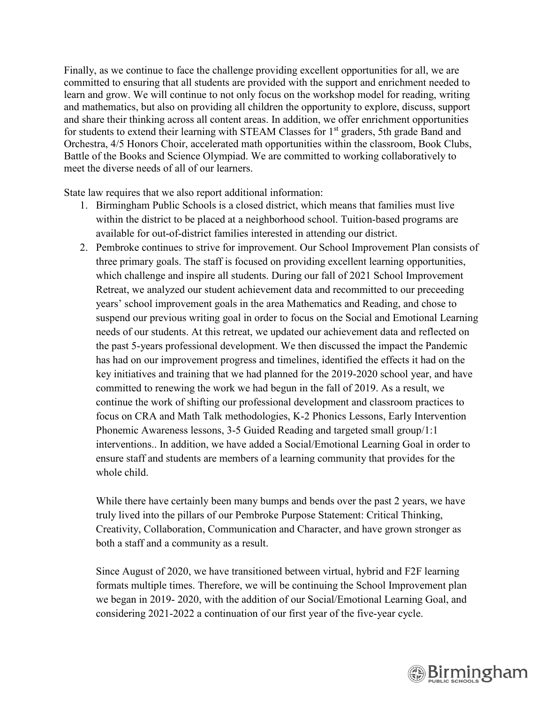Finally, as we continue to face the challenge providing excellent opportunities for all, we are committed to ensuring that all students are provided with the support and enrichment needed to learn and grow. We will continue to not only focus on the workshop model for reading, writing and mathematics, but also on providing all children the opportunity to explore, discuss, support and share their thinking across all content areas. In addition, we offer enrichment opportunities for students to extend their learning with STEAM Classes for 1<sup>st</sup> graders, 5th grade Band and Orchestra, 4/5 Honors Choir, accelerated math opportunities within the classroom, Book Clubs, Battle of the Books and Science Olympiad. We are committed to working collaboratively to meet the diverse needs of all of our learners.

State law requires that we also report additional information:

- 1. Birmingham Public Schools is a closed district, which means that families must live within the district to be placed at a neighborhood school. Tuition-based programs are available for out-of-district families interested in attending our district.
- 2. Pembroke continues to strive for improvement. Our School Improvement Plan consists of three primary goals. The staff is focused on providing excellent learning opportunities, which challenge and inspire all students. During our fall of 2021 School Improvement Retreat, we analyzed our student achievement data and recommitted to our preceeding years' school improvement goals in the area Mathematics and Reading, and chose to suspend our previous writing goal in order to focus on the Social and Emotional Learning needs of our students. At this retreat, we updated our achievement data and reflected on the past 5-years professional development. We then discussed the impact the Pandemic has had on our improvement progress and timelines, identified the effects it had on the key initiatives and training that we had planned for the 2019-2020 school year, and have committed to renewing the work we had begun in the fall of 2019. As a result, we continue the work of shifting our professional development and classroom practices to focus on CRA and Math Talk methodologies, K-2 Phonics Lessons, Early Intervention Phonemic Awareness lessons, 3-5 Guided Reading and targeted small group/1:1 interventions.. In addition, we have added a Social/Emotional Learning Goal in order to ensure staff and students are members of a learning community that provides for the whole child.

While there have certainly been many bumps and bends over the past 2 years, we have truly lived into the pillars of our Pembroke Purpose Statement: Critical Thinking, Creativity, Collaboration, Communication and Character, and have grown stronger as both a staff and a community as a result.

Since August of 2020, we have transitioned between virtual, hybrid and F2F learning formats multiple times. Therefore, we will be continuing the School Improvement plan we began in 2019- 2020, with the addition of our Social/Emotional Learning Goal, and considering 2021-2022 a continuation of our first year of the five-year cycle.

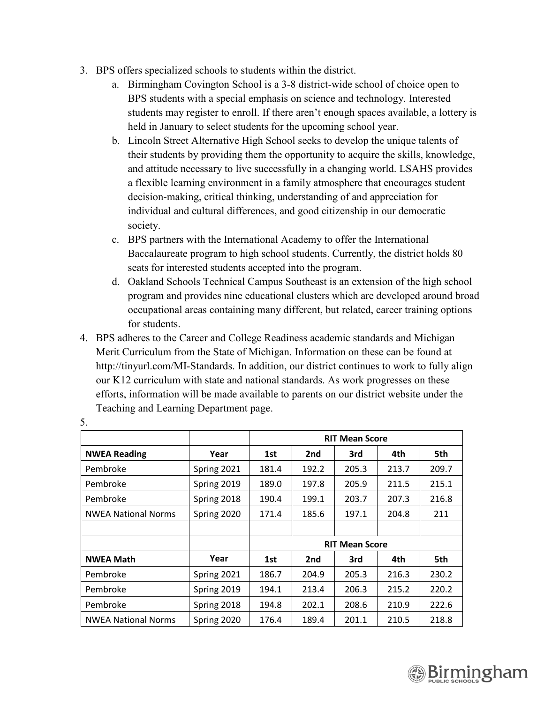- 3. BPS offers specialized schools to students within the district.
	- a. Birmingham Covington School is a 3-8 district-wide school of choice open to BPS students with a special emphasis on science and technology. Interested students may register to enroll. If there aren't enough spaces available, a lottery is held in January to select students for the upcoming school year.
	- b. Lincoln Street Alternative High School seeks to develop the unique talents of their students by providing them the opportunity to acquire the skills, knowledge, and attitude necessary to live successfully in a changing world. LSAHS provides a flexible learning environment in a family atmosphere that encourages student decision-making, critical thinking, understanding of and appreciation for individual and cultural differences, and good citizenship in our democratic society.
	- c. BPS partners with the International Academy to offer the International Baccalaureate program to high school students. Currently, the district holds 80 seats for interested students accepted into the program.
	- d. Oakland Schools Technical Campus Southeast is an extension of the high school program and provides nine educational clusters which are developed around broad occupational areas containing many different, but related, career training options for students.
- 4. BPS adheres to the Career and College Readiness academic standards and Michigan Merit Curriculum from the State of Michigan. Information on these can be found at http://tinyurl.com/MI-Standards. In addition, our district continues to work to fully align our K12 curriculum with state and national standards. As work progresses on these efforts, information will be made available to parents on our district website under the Teaching and Learning Department page.

|                            |             | <b>RIT Mean Score</b> |                 |       |       |       |
|----------------------------|-------------|-----------------------|-----------------|-------|-------|-------|
| <b>NWEA Reading</b>        | Year        | 1st                   | 2nd             | 3rd   | 4th   | 5th   |
| Pembroke                   | Spring 2021 | 181.4                 | 192.2           | 205.3 | 213.7 | 209.7 |
| Pembroke                   | Spring 2019 | 189.0                 | 197.8           | 205.9 | 211.5 | 215.1 |
| Pembroke                   | Spring 2018 | 190.4                 | 199.1           | 203.7 | 207.3 | 216.8 |
| <b>NWEA National Norms</b> | Spring 2020 | 171.4                 | 185.6           | 197.1 | 204.8 | 211   |
|                            |             |                       |                 |       |       |       |
|                            |             | <b>RIT Mean Score</b> |                 |       |       |       |
| <b>NWEA Math</b>           | Year        | 1st                   | 2 <sub>nd</sub> | 3rd   | 4th   | 5th   |
| Pembroke                   | Spring 2021 | 186.7                 | 204.9           | 205.3 | 216.3 | 230.2 |
| Pembroke                   | Spring 2019 | 194.1                 | 213.4           | 206.3 | 215.2 | 220.2 |
| Pembroke                   | Spring 2018 | 194.8                 | 202.1           | 208.6 | 210.9 | 222.6 |
| <b>NWEA National Norms</b> | Spring 2020 | 176.4                 | 189.4           | 201.1 | 210.5 | 218.8 |

5.